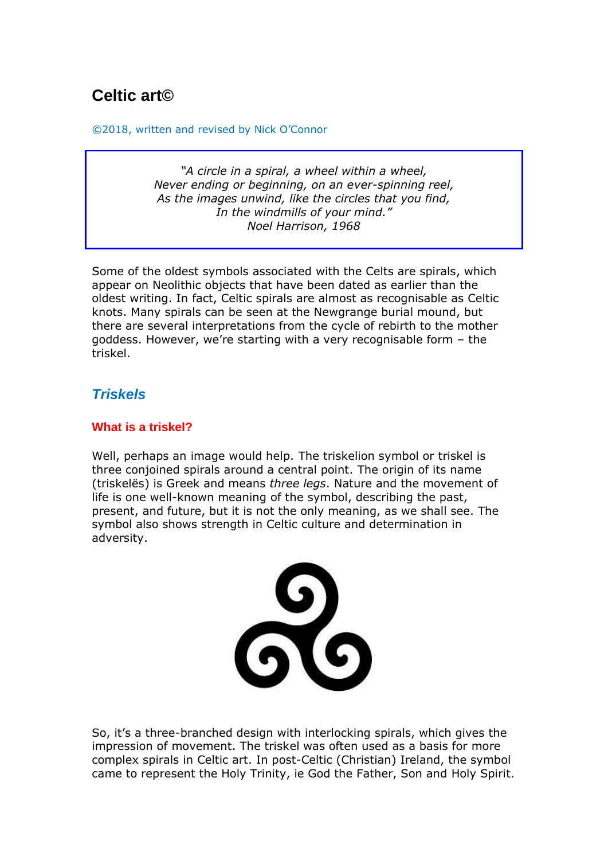# **Celtic art©**

©2018, written and revised by Nick O'Connor

*"A circle in a spiral, a wheel within a wheel, Never ending or beginning, on an ever-spinning reel, As the images unwind, like the circles that you find, In the windmills of your mind." Noel Harrison, 1968*

Some of the oldest symbols associated with the Celts are spirals, which appear on Neolithic objects that have been dated as earlier than the oldest writing. In fact, Celtic spirals are almost as recognisable as Celtic knots. Many spirals can be seen at the Newgrange burial mound, but there are several interpretations from the cycle of rebirth to the mother goddess. However, we're starting with a very recognisable form – the triskel.

### *Triskels*

### **What is a triskel?**

Well, perhaps an image would help. The triskelion symbol or triskel is three conjoined spirals around a central point. The origin of its name (triskelës) is Greek and means *three legs*. Nature and the movement of life is one well-known meaning of the symbol, describing the past, present, and future, but it is not the only meaning, as we shall see. The symbol also shows strength in Celtic culture and determination in adversity.



So, it's a three-branched design with interlocking spirals, which gives the impression of movement. The triskel was often used as a basis for more complex spirals in Celtic art. In post-Celtic (Christian) Ireland, the symbol came to represent the Holy Trinity, ie God the Father, Son and Holy Spirit.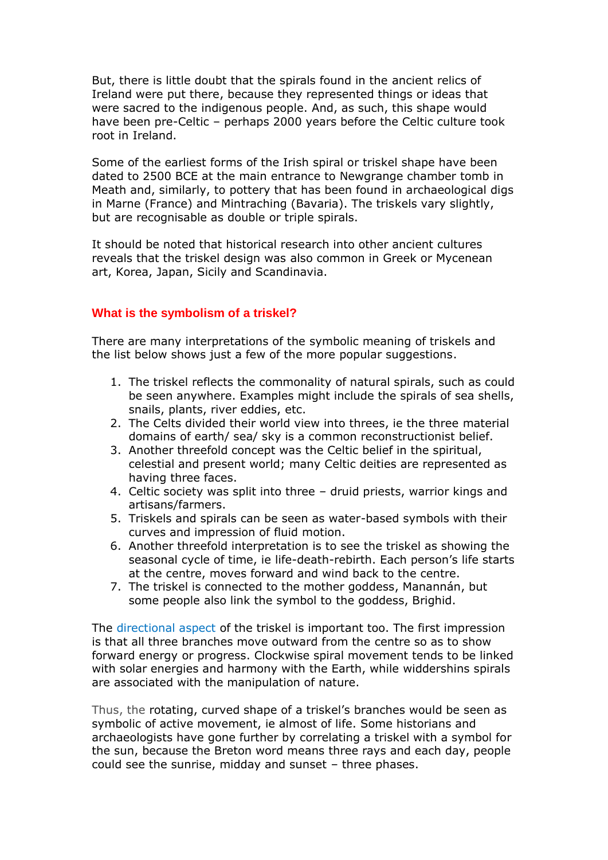But, there is little doubt that the spirals found in the ancient relics of Ireland were put there, because they represented things or ideas that were sacred to the indigenous people. And, as such, this shape would have been pre-Celtic – perhaps 2000 years before the Celtic culture took root in Ireland.

Some of the earliest forms of the Irish spiral or triskel shape have been dated to 2500 BCE at the main entrance to Newgrange chamber tomb in Meath and, similarly, to pottery that has been found in archaeological digs in Marne (France) and Mintraching (Bavaria). The triskels vary slightly, but are recognisable as double or triple spirals.

It should be noted that historical research into other ancient cultures reveals that the triskel design was also common in Greek or Mycenean art, Korea, Japan, Sicily and Scandinavia.

#### **What is the symbolism of a triskel?**

There are many interpretations of the symbolic meaning of triskels and the list below shows just a few of the more popular suggestions.

- 1. The triskel reflects the commonality of natural spirals, such as could be seen anywhere. Examples might include the spirals of sea shells, snails, plants, river eddies, etc.
- 2. The Celts divided their world view into threes, ie the three material domains of earth/ sea/ sky is a common reconstructionist belief.
- 3. Another threefold concept was the Celtic belief in the spiritual, celestial and present world; many Celtic deities are represented as having three faces.
- 4. Celtic society was split into three druid priests, warrior kings and artisans/farmers.
- 5. Triskels and spirals can be seen as water-based symbols with their curves and impression of fluid motion.
- 6. Another threefold interpretation is to see the triskel as showing the seasonal cycle of time, ie life-death-rebirth. Each person's life starts at the centre, moves forward and wind back to the centre.
- 7. The triskel is connected to the mother goddess, Manannán, but some people also link the symbol to the goddess, Brighid.

The directional aspect of the triskel is important too. The first impression is that all three branches move outward from the centre so as to show forward energy or progress. Clockwise spiral movement tends to be linked with solar energies and harmony with the Earth, while widdershins spirals are associated with the manipulation of nature.

Thus, the rotating, curved shape of a triskel's branches would be seen as symbolic of active movement, ie almost of life. Some historians and archaeologists have gone further by correlating a triskel with a symbol for the sun, because the Breton word means three rays and each day, people could see the sunrise, midday and sunset – three phases.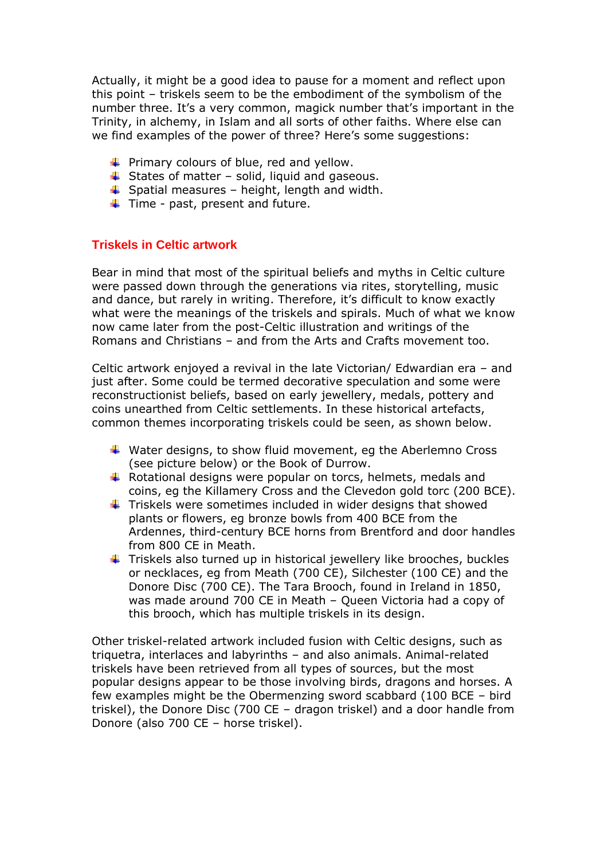Actually, it might be a good idea to pause for a moment and reflect upon this point – triskels seem to be the embodiment of the symbolism of the number three. It's a very common, magick number that's important in the Trinity, in alchemy, in Islam and all sorts of other faiths. Where else can we find examples of the power of three? Here's some suggestions:

- $\downarrow$  Primary colours of blue, red and yellow.
- $\ddot{ }$  States of matter solid, liquid and gaseous.
- $\frac{1}{2}$  Spatial measures height, length and width.
- $\ddot{\bullet}$  Time past, present and future.

#### **Triskels in Celtic artwork**

Bear in mind that most of the spiritual beliefs and myths in Celtic culture were passed down through the generations via rites, storytelling, music and dance, but rarely in writing. Therefore, it's difficult to know exactly what were the meanings of the triskels and spirals. Much of what we know now came later from the post-Celtic illustration and writings of the Romans and Christians – and from the Arts and Crafts movement too.

Celtic artwork enjoyed a revival in the late Victorian/ Edwardian era – and just after. Some could be termed decorative speculation and some were reconstructionist beliefs, based on early jewellery, medals, pottery and coins unearthed from Celtic settlements. In these historical artefacts, common themes incorporating triskels could be seen, as shown below.

- $\ddot{\phantom{1}}$  Water designs, to show fluid movement, eg the Aberlemno Cross (see picture below) or the Book of Durrow.
- $\ddot{+}$  Rotational designs were popular on torcs, helmets, medals and coins, eg the Killamery Cross and the Clevedon gold torc (200 BCE).
- $\ddot{\phantom{1}}$  Triskels were sometimes included in wider designs that showed plants or flowers, eg bronze bowls from 400 BCE from the Ardennes, third-century BCE horns from Brentford and door handles from 800 CE in Meath.
- $\ddot{\phantom{1}}$  Triskels also turned up in historical jewellery like brooches, buckles or necklaces, eg from Meath (700 CE), Silchester (100 CE) and the Donore Disc (700 CE). The Tara Brooch, found in Ireland in 1850, was made around 700 CE in Meath – Queen Victoria had a copy of this brooch, which has multiple triskels in its design.

Other triskel-related artwork included fusion with Celtic designs, such as triquetra, interlaces and labyrinths – and also animals. Animal-related triskels have been retrieved from all types of sources, but the most popular designs appear to be those involving birds, dragons and horses. A few examples might be the Obermenzing sword scabbard (100 BCE – bird triskel), the Donore Disc (700 CE – dragon triskel) and a door handle from Donore (also 700 CE – horse triskel).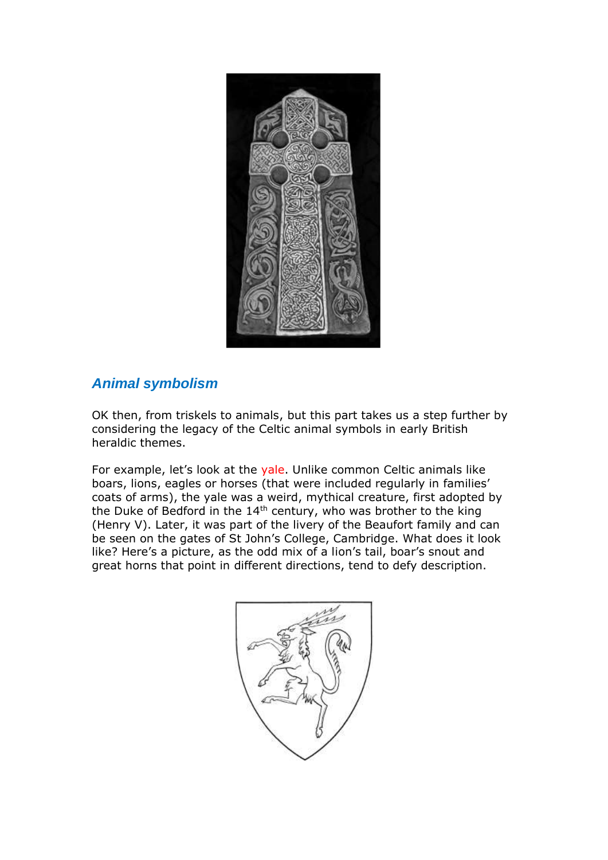

### *Animal symbolism*

OK then, from triskels to animals, but this part takes us a step further by considering the legacy of the Celtic animal symbols in early British heraldic themes.

For example, let's look at the yale. Unlike common Celtic animals like boars, lions, eagles or horses (that were included regularly in families' coats of arms), the yale was a weird, mythical creature, first adopted by the Duke of Bedford in the 14<sup>th</sup> century, who was brother to the king (Henry V). Later, it was part of the livery of the Beaufort family and can be seen on the gates of St John's College, Cambridge. What does it look like? Here's a picture, as the odd mix of a lion's tail, boar's snout and great horns that point in different directions, tend to defy description.

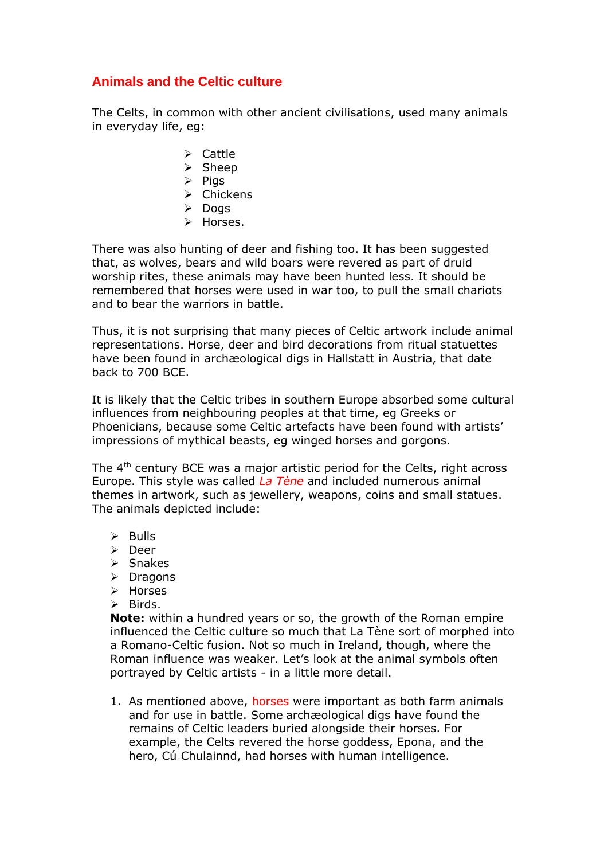### **Animals and the Celtic culture**

The Celts, in common with other ancient civilisations, used many animals in everyday life, eg:

- ➢ Cattle
- ➢ Sheep
- ➢ Pigs
- ➢ Chickens
- ➢ Dogs
- ➢ Horses.

There was also hunting of deer and fishing too. It has been suggested that, as wolves, bears and wild boars were revered as part of druid worship rites, these animals may have been hunted less. It should be remembered that horses were used in war too, to pull the small chariots and to bear the warriors in battle.

Thus, it is not surprising that many pieces of Celtic artwork include animal representations. Horse, deer and bird decorations from ritual statuettes have been found in archæological digs in Hallstatt in Austria, that date back to 700 BCE.

It is likely that the Celtic tribes in southern Europe absorbed some cultural influences from neighbouring peoples at that time, eg Greeks or Phoenicians, because some Celtic artefacts have been found with artists' impressions of mythical beasts, eg winged horses and gorgons.

The 4<sup>th</sup> century BCE was a major artistic period for the Celts, right across Europe. This style was called *La Tène* and included numerous animal themes in artwork, such as jewellery, weapons, coins and small statues. The animals depicted include:

- $\triangleright$  Bulls
- ➢ Deer
- ➢ Snakes
- ➢ Dragons
- ➢ Horses
- ➢ Birds.

**Note:** within a hundred years or so, the growth of the Roman empire influenced the Celtic culture so much that La Tène sort of morphed into a Romano-Celtic fusion. Not so much in Ireland, though, where the Roman influence was weaker. Let's look at the animal symbols often portrayed by Celtic artists - in a little more detail.

1. As mentioned above, horses were important as both farm animals and for use in battle. Some archæological digs have found the remains of Celtic leaders buried alongside their horses. For example, the Celts revered the horse goddess, Epona, and the hero, Cú Chulainnd, had horses with human intelligence.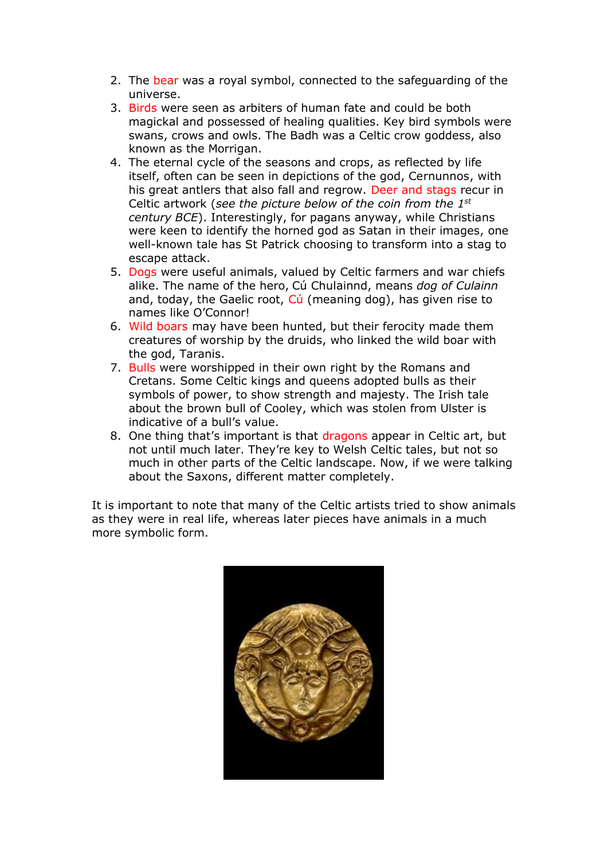- 2. The bear was a royal symbol, connected to the safeguarding of the universe.
- 3. Birds were seen as arbiters of human fate and could be both magickal and possessed of healing qualities. Key bird symbols were swans, crows and owls. The Badh was a Celtic crow goddess, also known as the Morrigan.
- 4. The eternal cycle of the seasons and crops, as reflected by life itself, often can be seen in depictions of the god, Cernunnos, with his great antlers that also fall and regrow. Deer and stags recur in Celtic artwork (*see the picture below of the coin from the 1st century BCE*). Interestingly, for pagans anyway, while Christians were keen to identify the horned god as Satan in their images, one well-known tale has St Patrick choosing to transform into a stag to escape attack.
- 5. Dogs were useful animals, valued by Celtic farmers and war chiefs alike. The name of the hero, Cú Chulainnd, means *dog of Culainn* and, today, the Gaelic root,  $C\acute{u}$  (meaning dog), has given rise to names like O'Connor!
- 6. Wild boars may have been hunted, but their ferocity made them creatures of worship by the druids, who linked the wild boar with the god, Taranis.
- 7. Bulls were worshipped in their own right by the Romans and Cretans. Some Celtic kings and queens adopted bulls as their symbols of power, to show strength and majesty. The Irish tale about the brown bull of Cooley, which was stolen from Ulster is indicative of a bull's value.
- 8. One thing that's important is that dragons appear in Celtic art, but not until much later. They're key to Welsh Celtic tales, but not so much in other parts of the Celtic landscape. Now, if we were talking about the Saxons, different matter completely.

It is important to note that many of the Celtic artists tried to show animals as they were in real life, whereas later pieces have animals in a much more symbolic form.

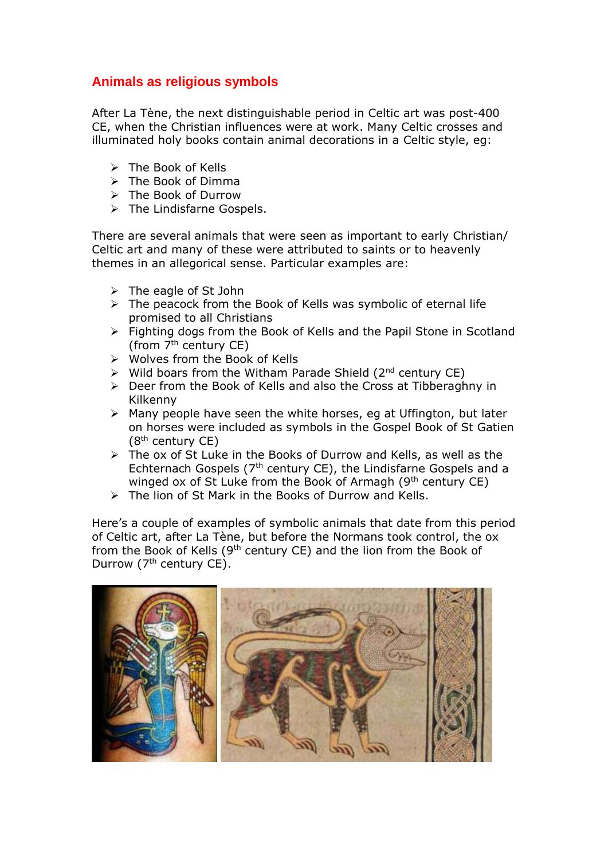### **Animals as religious symbols**

After La Tène, the next distinguishable period in Celtic art was post-400 CE, when the Christian influences were at work. Many Celtic crosses and illuminated holy books contain animal decorations in a Celtic style, eg:

- ➢ The Book of Kells
- ➢ The Book of Dimma
- ➢ The Book of Durrow
- ➢ The Lindisfarne Gospels.

There are several animals that were seen as important to early Christian/ Celtic art and many of these were attributed to saints or to heavenly themes in an allegorical sense. Particular examples are:

- ➢ The eagle of St John
- $\triangleright$  The peacock from the Book of Kells was symbolic of eternal life promised to all Christians
- ➢ Fighting dogs from the Book of Kells and the Papil Stone in Scotland (from  $7<sup>th</sup>$  century CE)
- ➢ Wolves from the Book of Kells
- $\triangleright$  Wild boars from the Witham Parade Shield (2<sup>nd</sup> century CE)
- ➢ Deer from the Book of Kells and also the Cross at Tibberaghny in Kilkenny
- $\triangleright$  Many people have seen the white horses, eg at Uffington, but later on horses were included as symbols in the Gospel Book of St Gatien  $(8<sup>th</sup>$  century CE)
- ➢ The ox of St Luke in the Books of Durrow and Kells, as well as the Echternach Gospels (7<sup>th</sup> century CE), the Lindisfarne Gospels and a winged ox of St Luke from the Book of Armagh  $(9<sup>th</sup>$  century CE)
- ➢ The lion of St Mark in the Books of Durrow and Kells.

Here's a couple of examples of symbolic animals that date from this period of Celtic art, after La Tène, but before the Normans took control, the ox from the Book of Kells (9th century CE) and the lion from the Book of Durrow (7<sup>th</sup> century CE).

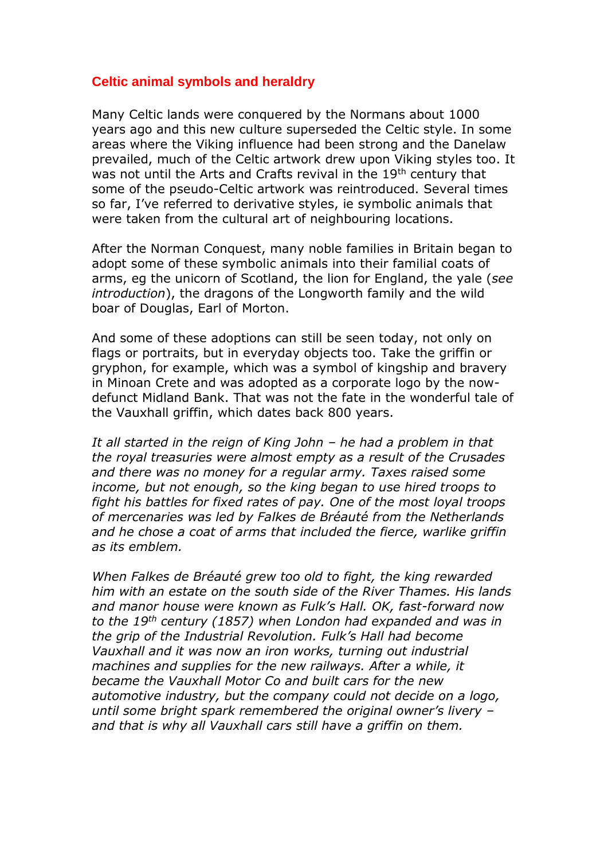### **Celtic animal symbols and heraldry**

Many Celtic lands were conquered by the Normans about 1000 years ago and this new culture superseded the Celtic style. In some areas where the Viking influence had been strong and the Danelaw prevailed, much of the Celtic artwork drew upon Viking styles too. It was not until the Arts and Crafts revival in the 19th century that some of the pseudo-Celtic artwork was reintroduced. Several times so far, I've referred to derivative styles, ie symbolic animals that were taken from the cultural art of neighbouring locations.

After the Norman Conquest, many noble families in Britain began to adopt some of these symbolic animals into their familial coats of arms, eg the unicorn of Scotland, the lion for England, the yale (*see introduction*), the dragons of the Longworth family and the wild boar of Douglas, Earl of Morton.

And some of these adoptions can still be seen today, not only on flags or portraits, but in everyday objects too. Take the griffin or gryphon, for example, which was a symbol of kingship and bravery in Minoan Crete and was adopted as a corporate logo by the nowdefunct Midland Bank. That was not the fate in the wonderful tale of the Vauxhall griffin, which dates back 800 years.

*It all started in the reign of King John – he had a problem in that the royal treasuries were almost empty as a result of the Crusades and there was no money for a regular army. Taxes raised some income, but not enough, so the king began to use hired troops to fight his battles for fixed rates of pay. One of the most loyal troops of mercenaries was led by Falkes de Bréauté from the Netherlands and he chose a coat of arms that included the fierce, warlike griffin as its emblem.*

*When Falkes de Bréauté grew too old to fight, the king rewarded him with an estate on the south side of the River Thames. His lands and manor house were known as Fulk's Hall. OK, fast-forward now to the 19th century (1857) when London had expanded and was in the grip of the Industrial Revolution. Fulk's Hall had become Vauxhall and it was now an iron works, turning out industrial machines and supplies for the new railways. After a while, it became the Vauxhall Motor Co and built cars for the new automotive industry, but the company could not decide on a logo, until some bright spark remembered the original owner's livery – and that is why all Vauxhall cars still have a griffin on them.*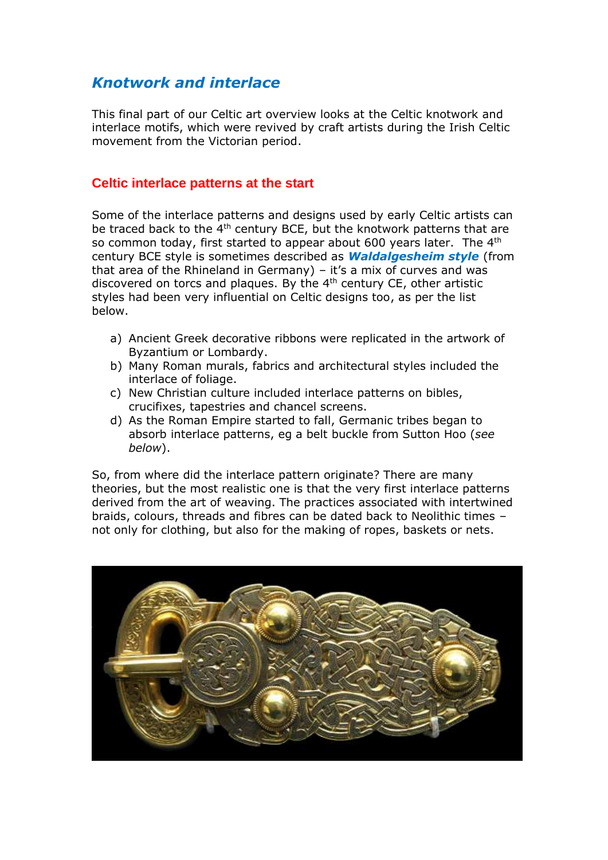## *Knotwork and interlace*

This final part of our Celtic art overview looks at the Celtic knotwork and interlace motifs, which were revived by craft artists during the Irish Celtic movement from the Victorian period.

#### **Celtic interlace patterns at the start**

Some of the interlace patterns and designs used by early Celtic artists can be traced back to the 4<sup>th</sup> century BCE, but the knotwork patterns that are so common today, first started to appear about 600 years later. The 4<sup>th</sup> century BCE style is sometimes described as *Waldalgesheim style* (from that area of the Rhineland in Germany) – it's a mix of curves and was discovered on torcs and plaques. By the  $4<sup>th</sup>$  century CE, other artistic styles had been very influential on Celtic designs too, as per the list below.

- a) Ancient Greek decorative ribbons were replicated in the artwork of Byzantium or Lombardy.
- b) Many Roman murals, fabrics and architectural styles included the interlace of foliage.
- c) New Christian culture included interlace patterns on bibles, crucifixes, tapestries and chancel screens.
- d) As the Roman Empire started to fall, Germanic tribes began to absorb interlace patterns, eg a belt buckle from Sutton Hoo (*see below*).

So, from where did the interlace pattern originate? There are many theories, but the most realistic one is that the very first interlace patterns derived from the art of weaving. The practices associated with intertwined braids, colours, threads and fibres can be dated back to Neolithic times – not only for clothing, but also for the making of ropes, baskets or nets.

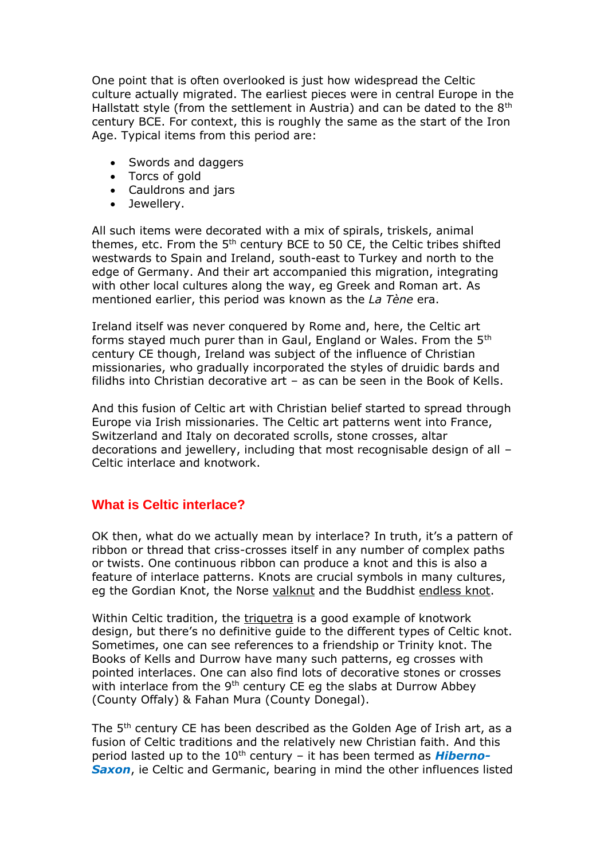One point that is often overlooked is just how widespread the Celtic culture actually migrated. The earliest pieces were in central Europe in the Hallstatt style (from the settlement in Austria) and can be dated to the 8<sup>th</sup> century BCE. For context, this is roughly the same as the start of the Iron Age. Typical items from this period are:

- Swords and daggers
- Torcs of gold
- Cauldrons and jars
- Jewellery.

All such items were decorated with a mix of spirals, triskels, animal themes, etc. From the 5<sup>th</sup> century BCE to 50 CE, the Celtic tribes shifted westwards to Spain and Ireland, south-east to Turkey and north to the edge of Germany. And their art accompanied this migration, integrating with other local cultures along the way, eg Greek and Roman art. As mentioned earlier, this period was known as the *La Tène* era.

Ireland itself was never conquered by Rome and, here, the Celtic art forms stayed much purer than in Gaul, England or Wales. From the 5th century CE though, Ireland was subject of the influence of Christian missionaries, who gradually incorporated the styles of druidic bards and filidhs into Christian decorative art – as can be seen in the Book of Kells.

And this fusion of Celtic art with Christian belief started to spread through Europe via Irish missionaries. The Celtic art patterns went into France, Switzerland and Italy on decorated scrolls, stone crosses, altar decorations and jewellery, including that most recognisable design of all – Celtic interlace and knotwork.

### **What is Celtic interlace?**

OK then, what do we actually mean by interlace? In truth, it's a pattern of ribbon or thread that criss-crosses itself in any number of complex paths or twists. One continuous ribbon can produce a knot and this is also a feature of interlace patterns. Knots are crucial symbols in many cultures, eg the Gordian Knot, the Norse valknut and the Buddhist endless knot.

Within Celtic tradition, the triquetra is a good example of knotwork design, but there's no definitive guide to the different types of Celtic knot. Sometimes, one can see references to a friendship or Trinity knot. The Books of Kells and Durrow have many such patterns, eg crosses with pointed interlaces. One can also find lots of decorative stones or crosses with interlace from the 9<sup>th</sup> century CE eg the slabs at Durrow Abbey (County Offaly) & Fahan Mura (County Donegal).

The 5<sup>th</sup> century CE has been described as the Golden Age of Irish art, as a fusion of Celtic traditions and the relatively new Christian faith. And this period lasted up to the 10<sup>th</sup> century - it has been termed as **Hiberno-***Saxon*, ie Celtic and Germanic, bearing in mind the other influences listed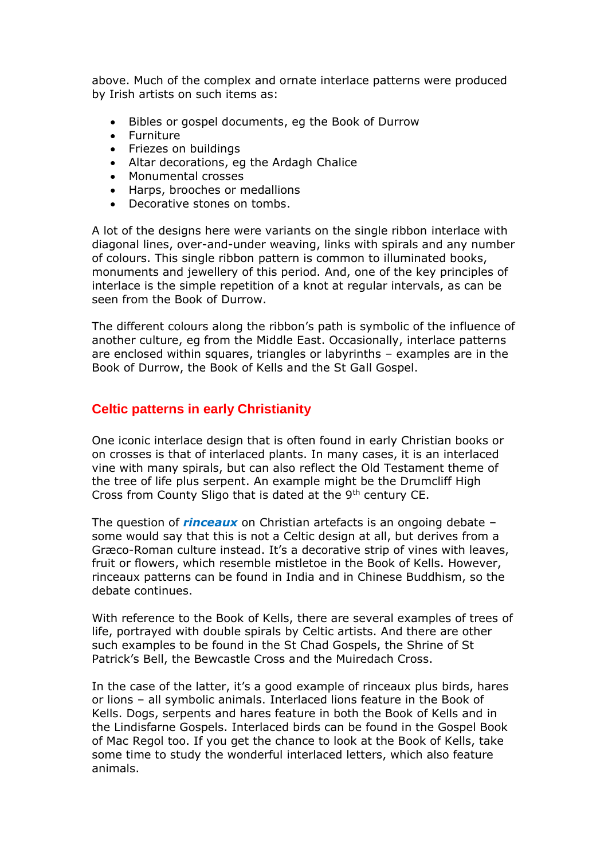above. Much of the complex and ornate interlace patterns were produced by Irish artists on such items as:

- Bibles or gospel documents, eg the Book of Durrow
- **Furniture**
- Friezes on buildings
- Altar decorations, eg the Ardagh Chalice
- Monumental crosses
- Harps, brooches or medallions
- Decorative stones on tombs.

A lot of the designs here were variants on the single ribbon interlace with diagonal lines, over-and-under weaving, links with spirals and any number of colours. This single ribbon pattern is common to illuminated books, monuments and jewellery of this period. And, one of the key principles of interlace is the simple repetition of a knot at regular intervals, as can be seen from the Book of Durrow.

The different colours along the ribbon's path is symbolic of the influence of another culture, eg from the Middle East. Occasionally, interlace patterns are enclosed within squares, triangles or labyrinths – examples are in the Book of Durrow, the Book of Kells and the St Gall Gospel.

#### **Celtic patterns in early Christianity**

One iconic interlace design that is often found in early Christian books or on crosses is that of interlaced plants. In many cases, it is an interlaced vine with many spirals, but can also reflect the Old Testament theme of the tree of life plus serpent. An example might be the Drumcliff High Cross from County Sligo that is dated at the 9<sup>th</sup> century CE.

The question of *rinceaux* on Christian artefacts is an ongoing debate – some would say that this is not a Celtic design at all, but derives from a Græco-Roman culture instead. It's a decorative strip of vines with leaves, fruit or flowers, which resemble mistletoe in the Book of Kells. However, rinceaux patterns can be found in India and in Chinese Buddhism, so the debate continues.

With reference to the Book of Kells, there are several examples of trees of life, portrayed with double spirals by Celtic artists. And there are other such examples to be found in the St Chad Gospels, the Shrine of St Patrick's Bell, the Bewcastle Cross and the Muiredach Cross.

In the case of the latter, it's a good example of rinceaux plus birds, hares or lions – all symbolic animals. Interlaced lions feature in the Book of Kells. Dogs, serpents and hares feature in both the Book of Kells and in the Lindisfarne Gospels. Interlaced birds can be found in the Gospel Book of Mac Regol too. If you get the chance to look at the Book of Kells, take some time to study the wonderful interlaced letters, which also feature animals.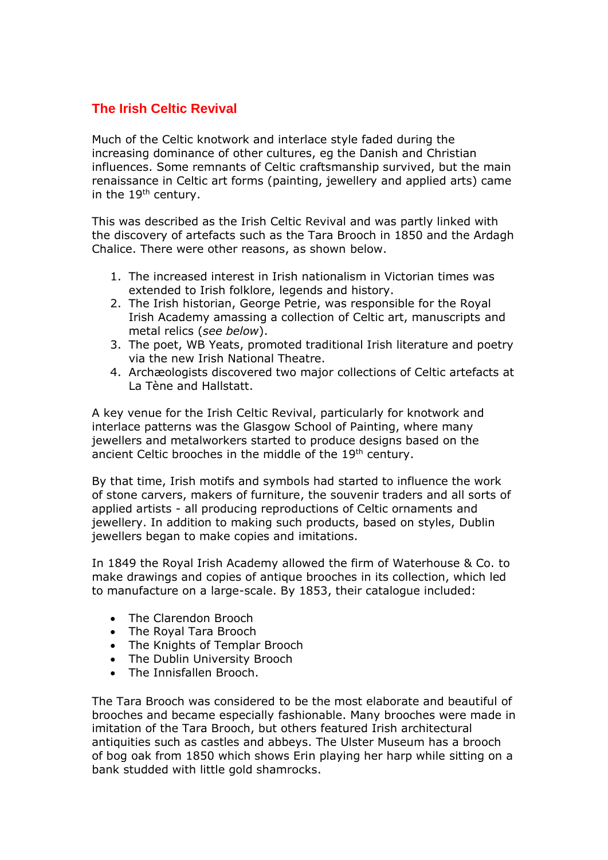### **The Irish Celtic Revival**

Much of the Celtic knotwork and interlace style faded during the increasing dominance of other cultures, eg the Danish and Christian influences. Some remnants of Celtic craftsmanship survived, but the main renaissance in Celtic art forms (painting, jewellery and applied arts) came in the 19<sup>th</sup> century.

This was described as the Irish Celtic Revival and was partly linked with the discovery of artefacts such as the Tara Brooch in 1850 and the Ardagh Chalice. There were other reasons, as shown below.

- 1. The increased interest in Irish nationalism in Victorian times was extended to Irish folklore, legends and history.
- 2. The Irish historian, George Petrie, was responsible for the Royal Irish Academy amassing a collection of Celtic art, manuscripts and metal relics (*see below*).
- 3. The poet, WB Yeats, promoted traditional Irish literature and poetry via the new Irish National Theatre.
- 4. Archæologists discovered two major collections of Celtic artefacts at La Tène and Hallstatt.

A key venue for the Irish Celtic Revival, particularly for knotwork and interlace patterns was the Glasgow School of Painting, where many jewellers and metalworkers started to produce designs based on the ancient Celtic brooches in the middle of the 19<sup>th</sup> century.

By that time, Irish motifs and symbols had started to influence the work of stone carvers, makers of furniture, the souvenir traders and all sorts of applied artists - all producing reproductions of Celtic ornaments and jewellery. In addition to making such products, based on styles, Dublin jewellers began to make copies and imitations.

In 1849 the Royal Irish Academy allowed the firm of Waterhouse & Co. to make drawings and copies of antique brooches in its collection, which led to manufacture on a large-scale. By 1853, their catalogue included:

- The Clarendon Brooch
- The Royal Tara Brooch
- The Knights of Templar Brooch
- The Dublin University Brooch
- The Innisfallen Brooch.

The Tara Brooch was considered to be the most elaborate and beautiful of brooches and became especially fashionable. Many brooches were made in imitation of the Tara Brooch, but others featured Irish architectural antiquities such as castles and abbeys. The Ulster Museum has a brooch of bog oak from 1850 which shows Erin playing her harp while sitting on a bank studded with little gold shamrocks.